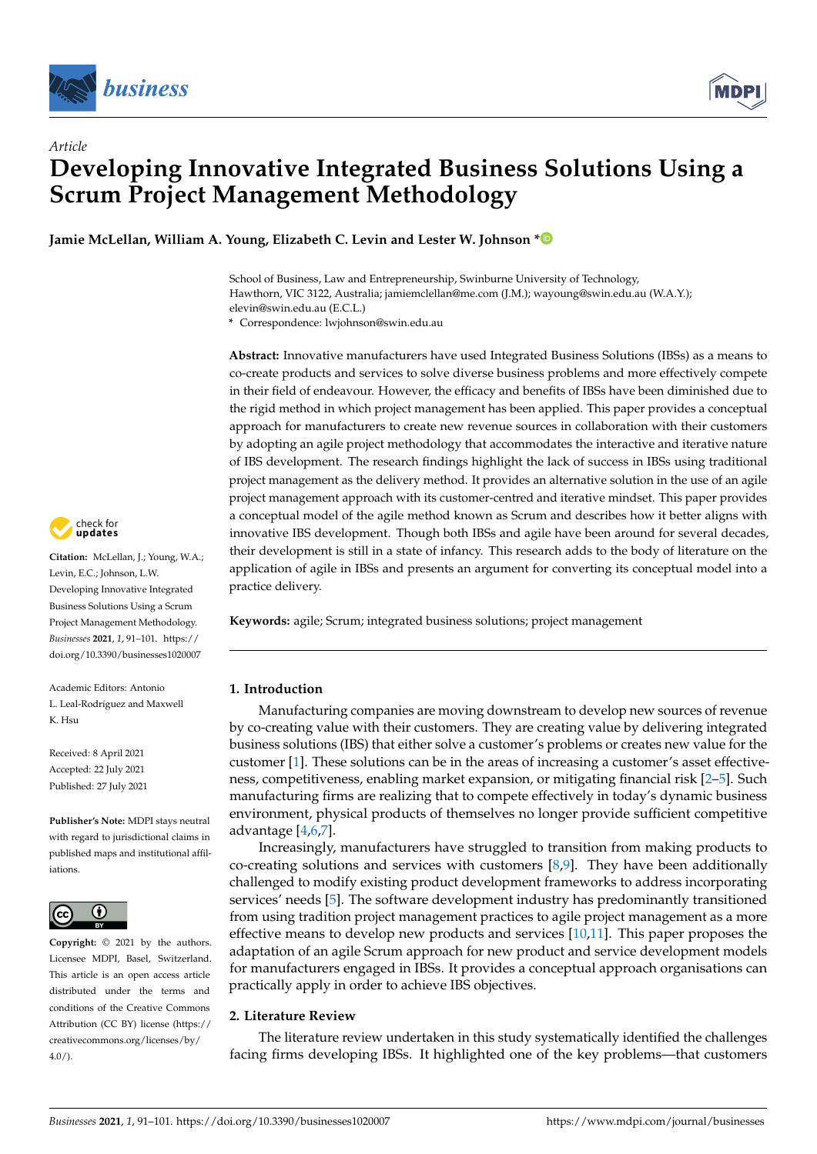

# *Article* **Developing Innovative Integrated Business Solutions Using a Scrum Project Management Methodology**

**Jamie McLellan, William A. Young, Elizabeth C. Levin and Lester W. Johnson [\\*](https://orcid.org/0000-0003-3577-2804)**

School of Business, Law and Entrepreneurship, Swinburne University of Technology, Hawthorn, VIC 3122, Australia; jamiemclellan@me.com (J.M.); wayoung@swin.edu.au (W.A.Y.); elevin@swin.edu.au (E.C.L.)

**\*** Correspondence: lwjohnson@swin.edu.au

**Abstract:** Innovative manufacturers have used Integrated Business Solutions (IBSs) as a means to co-create products and services to solve diverse business problems and more effectively compete in their field of endeavour. However, the efficacy and benefits of IBSs have been diminished due to the rigid method in which project management has been applied. This paper provides a conceptual approach for manufacturers to create new revenue sources in collaboration with their customers by adopting an agile project methodology that accommodates the interactive and iterative nature of IBS development. The research findings highlight the lack of success in IBSs using traditional project management as the delivery method. It provides an alternative solution in the use of an agile project management approach with its customer-centred and iterative mindset. This paper provides a conceptual model of the agile method known as Scrum and describes how it better aligns with innovative IBS development. Though both IBSs and agile have been around for several decades, their development is still in a state of infancy. This research adds to the body of literature on the application of agile in IBSs and presents an argument for converting its conceptual model into a practice delivery.

**Keywords:** agile; Scrum; integrated business solutions; project management

## **1. Introduction**

Manufacturing companies are moving downstream to develop new sources of revenue by co-creating value with their customers. They are creating value by delivering integrated business solutions (IBS) that either solve a customer's problems or creates new value for the customer [\[1\]](#page-8-0). These solutions can be in the areas of increasing a customer's asset effectiveness, competitiveness, enabling market expansion, or mitigating financial risk [\[2](#page-8-1)[–5\]](#page-8-2). Such manufacturing firms are realizing that to compete effectively in today's dynamic business environment, physical products of themselves no longer provide sufficient competitive advantage [\[4,](#page-8-3)[6,](#page-8-4)[7\]](#page-8-5).

Increasingly, manufacturers have struggled to transition from making products to co-creating solutions and services with customers  $[8,9]$  $[8,9]$ . They have been additionally challenged to modify existing product development frameworks to address incorporating services' needs [\[5\]](#page-8-2). The software development industry has predominantly transitioned from using tradition project management practices to agile project management as a more effective means to develop new products and services [\[10,](#page-8-8)[11\]](#page-8-9). This paper proposes the adaptation of an agile Scrum approach for new product and service development models for manufacturers engaged in IBSs. It provides a conceptual approach organisations can practically apply in order to achieve IBS objectives.

# **2. Literature Review**

The literature review undertaken in this study systematically identified the challenges facing firms developing IBSs. It highlighted one of the key problems—that customers



**Citation:** McLellan, J.; Young, W.A.; Levin, E.C.; Johnson, L.W. Developing Innovative Integrated Business Solutions Using a Scrum Project Management Methodology. *Businesses* **2021**, *1*, 91–101. [https://](https://doi.org/10.3390/businesses1020007) [doi.org/10.3390/businesses1020007](https://doi.org/10.3390/businesses1020007)

Academic Editors: Antonio L. Leal-Rodríguez and Maxwell K. Hsu

Received: 8 April 2021 Accepted: 22 July 2021 Published: 27 July 2021

**Publisher's Note:** MDPI stays neutral with regard to jurisdictional claims in published maps and institutional affiliations.



**Copyright:** © 2021 by the authors. Licensee MDPI, Basel, Switzerland. This article is an open access article distributed under the terms and conditions of the Creative Commons Attribution (CC BY) license (https:/[/](https://creativecommons.org/licenses/by/4.0/) [creativecommons.org/licenses/by/](https://creativecommons.org/licenses/by/4.0/)  $4.0/$ ).

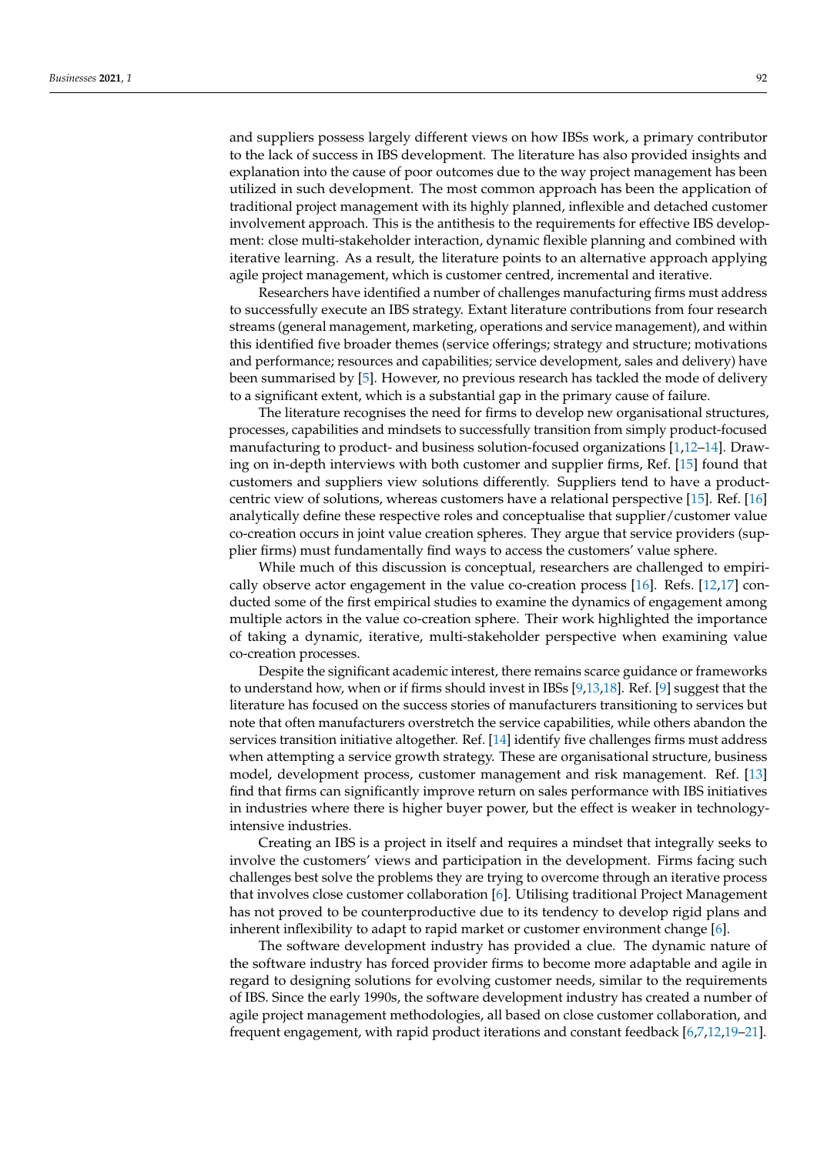and suppliers possess largely different views on how IBSs work, a primary contributor to the lack of success in IBS development. The literature has also provided insights and explanation into the cause of poor outcomes due to the way project management has been utilized in such development. The most common approach has been the application of traditional project management with its highly planned, inflexible and detached customer involvement approach. This is the antithesis to the requirements for effective IBS development: close multi-stakeholder interaction, dynamic flexible planning and combined with iterative learning. As a result, the literature points to an alternative approach applying agile project management, which is customer centred, incremental and iterative.

Researchers have identified a number of challenges manufacturing firms must address to successfully execute an IBS strategy. Extant literature contributions from four research streams (general management, marketing, operations and service management), and within this identified five broader themes (service offerings; strategy and structure; motivations and performance; resources and capabilities; service development, sales and delivery) have been summarised by [\[5\]](#page-8-2). However, no previous research has tackled the mode of delivery to a significant extent, which is a substantial gap in the primary cause of failure.

The literature recognises the need for firms to develop new organisational structures, processes, capabilities and mindsets to successfully transition from simply product-focused manufacturing to product- and business solution-focused organizations [\[1,](#page-8-0)[12–](#page-8-10)[14\]](#page-8-11). Drawing on in-depth interviews with both customer and supplier firms, Ref. [\[15\]](#page-8-12) found that customers and suppliers view solutions differently. Suppliers tend to have a productcentric view of solutions, whereas customers have a relational perspective [\[15\]](#page-8-12). Ref. [\[16\]](#page-9-0) analytically define these respective roles and conceptualise that supplier/customer value co-creation occurs in joint value creation spheres. They argue that service providers (supplier firms) must fundamentally find ways to access the customers' value sphere.

While much of this discussion is conceptual, researchers are challenged to empirically observe actor engagement in the value co-creation process [\[16\]](#page-9-0). Refs. [\[12,](#page-8-10)[17\]](#page-9-1) conducted some of the first empirical studies to examine the dynamics of engagement among multiple actors in the value co-creation sphere. Their work highlighted the importance of taking a dynamic, iterative, multi-stakeholder perspective when examining value co-creation processes.

Despite the significant academic interest, there remains scarce guidance or frameworks to understand how, when or if firms should invest in IBSs [\[9](#page-8-7)[,13,](#page-8-13)[18\]](#page-9-2). Ref. [\[9\]](#page-8-7) suggest that the literature has focused on the success stories of manufacturers transitioning to services but note that often manufacturers overstretch the service capabilities, while others abandon the services transition initiative altogether. Ref. [\[14\]](#page-8-11) identify five challenges firms must address when attempting a service growth strategy. These are organisational structure, business model, development process, customer management and risk management. Ref. [\[13\]](#page-8-13) find that firms can significantly improve return on sales performance with IBS initiatives in industries where there is higher buyer power, but the effect is weaker in technologyintensive industries.

Creating an IBS is a project in itself and requires a mindset that integrally seeks to involve the customers' views and participation in the development. Firms facing such challenges best solve the problems they are trying to overcome through an iterative process that involves close customer collaboration [\[6\]](#page-8-4). Utilising traditional Project Management has not proved to be counterproductive due to its tendency to develop rigid plans and inherent inflexibility to adapt to rapid market or customer environment change [\[6\]](#page-8-4).

The software development industry has provided a clue. The dynamic nature of the software industry has forced provider firms to become more adaptable and agile in regard to designing solutions for evolving customer needs, similar to the requirements of IBS. Since the early 1990s, the software development industry has created a number of agile project management methodologies, all based on close customer collaboration, and frequent engagement, with rapid product iterations and constant feedback [\[6,](#page-8-4)[7,](#page-8-5)[12,](#page-8-10)[19](#page-9-3)[–21\]](#page-9-4).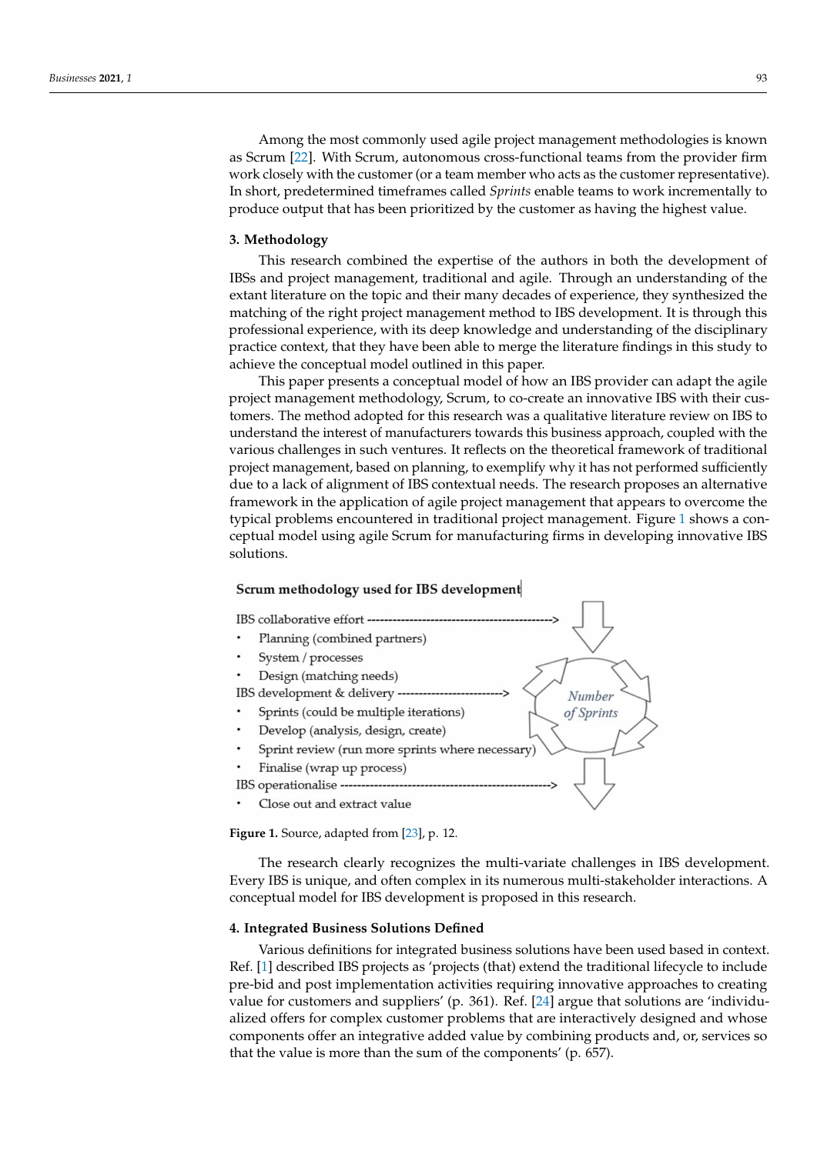Among the most commonly used agile project management methodologies is known as Scrum [\[22\]](#page-9-5). With Scrum, autonomous cross-functional teams from the provider firm work closely with the customer (or a team member who acts as the customer representative). In short, predetermined timeframes called *Sprints* enable teams to work incrementally to produce output that has been prioritized by the customer as having the highest value.

#### **3. Methodology**

This research combined the expertise of the authors in both the development of IBSs and project management, traditional and agile. Through an understanding of the extant literature on the topic and their many decades of experience, they synthesized the matching of the right project management method to IBS development. It is through this professional experience, with its deep knowledge and understanding of the disciplinary practice context, that they have been able to merge the literature findings in this study to achieve the conceptual model outlined in this paper.

This paper presents a conceptual model of how an IBS provider can adapt the agile project management methodology, Scrum, to co-create an innovative IBS with their customers. The method adopted for this research was a qualitative literature review on IBS to understand the interest of manufacturers towards this business approach, coupled with the various challenges in such ventures. It reflects on the theoretical framework of traditional project management, based on planning, to exemplify why it has not performed sufficiently due to a lack of alignment of IBS contextual needs. The research proposes an alternative framework in the application of agile project management that appears to overcome the typical problems encountered in traditional project management. Figure [1](#page-2-0) shows a conceptual model using agile Scrum for manufacturing firms in developing innovative IBS solutions.

#### <span id="page-2-0"></span>Scrum methodology used for IBS development



**Figure 1.** Source, adapted from [\[23\]](#page-9-6), p. 12.

The research clearly recognizes the multi-variate challenges in IBS development. Every IBS is unique, and often complex in its numerous multi-stakeholder interactions. A conceptual model for IBS development is proposed in this research.

## **4. Integrated Business Solutions Defined**

Various definitions for integrated business solutions have been used based in context. Ref. [\[1\]](#page-8-0) described IBS projects as 'projects (that) extend the traditional lifecycle to include pre-bid and post implementation activities requiring innovative approaches to creating value for customers and suppliers' (p. 361). Ref. [\[24\]](#page-9-7) argue that solutions are 'individualized offers for complex customer problems that are interactively designed and whose components offer an integrative added value by combining products and, or, services so that the value is more than the sum of the components' (p. 657).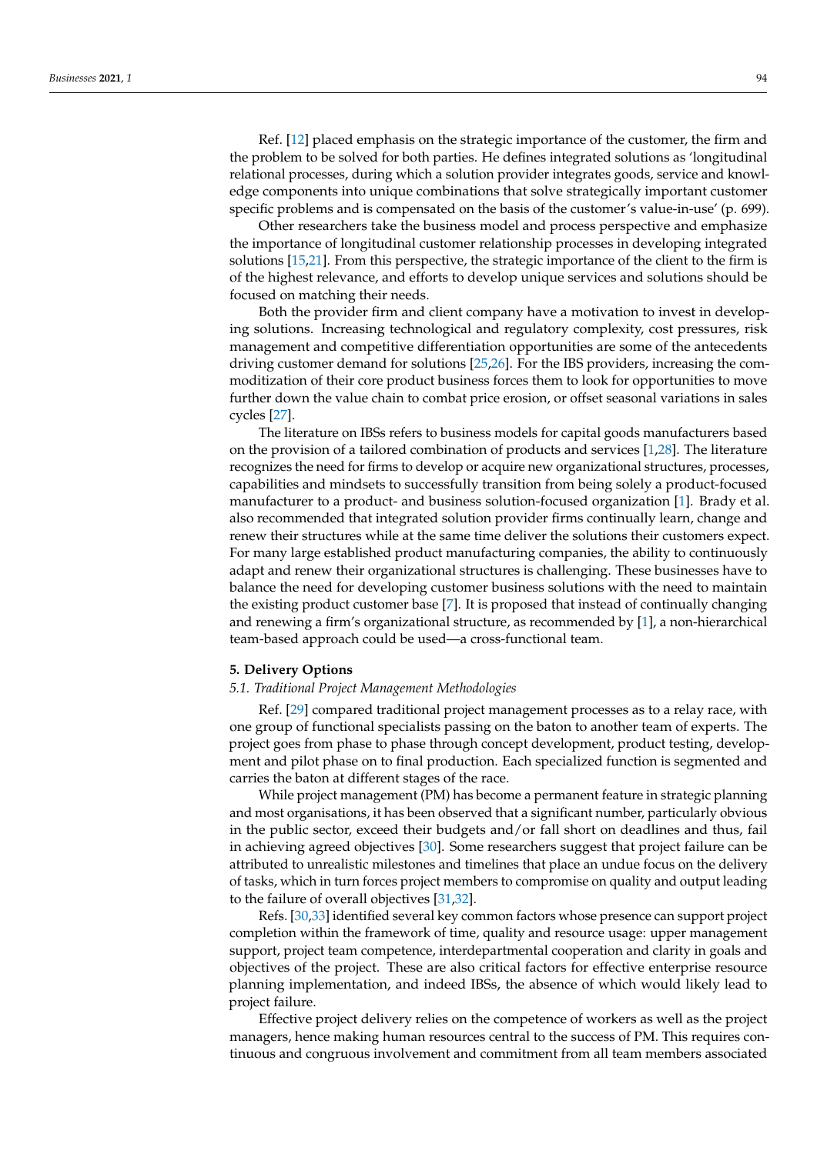Ref. [\[12\]](#page-8-10) placed emphasis on the strategic importance of the customer, the firm and the problem to be solved for both parties. He defines integrated solutions as 'longitudinal relational processes, during which a solution provider integrates goods, service and knowledge components into unique combinations that solve strategically important customer specific problems and is compensated on the basis of the customer's value-in-use' (p. 699).

Other researchers take the business model and process perspective and emphasize the importance of longitudinal customer relationship processes in developing integrated solutions [\[15,](#page-8-12)[21\]](#page-9-4). From this perspective, the strategic importance of the client to the firm is of the highest relevance, and efforts to develop unique services and solutions should be focused on matching their needs.

Both the provider firm and client company have a motivation to invest in developing solutions. Increasing technological and regulatory complexity, cost pressures, risk management and competitive differentiation opportunities are some of the antecedents driving customer demand for solutions [\[25,](#page-9-8)[26\]](#page-9-9). For the IBS providers, increasing the commoditization of their core product business forces them to look for opportunities to move further down the value chain to combat price erosion, or offset seasonal variations in sales cycles [\[27\]](#page-9-10).

The literature on IBSs refers to business models for capital goods manufacturers based on the provision of a tailored combination of products and services [\[1,](#page-8-0)[28\]](#page-9-11). The literature recognizes the need for firms to develop or acquire new organizational structures, processes, capabilities and mindsets to successfully transition from being solely a product-focused manufacturer to a product- and business solution-focused organization [\[1\]](#page-8-0). Brady et al. also recommended that integrated solution provider firms continually learn, change and renew their structures while at the same time deliver the solutions their customers expect. For many large established product manufacturing companies, the ability to continuously adapt and renew their organizational structures is challenging. These businesses have to balance the need for developing customer business solutions with the need to maintain the existing product customer base [\[7\]](#page-8-5). It is proposed that instead of continually changing and renewing a firm's organizational structure, as recommended by [\[1\]](#page-8-0), a non-hierarchical team-based approach could be used—a cross-functional team.

## **5. Delivery Options**

## *5.1. Traditional Project Management Methodologies*

Ref. [\[29\]](#page-9-12) compared traditional project management processes as to a relay race, with one group of functional specialists passing on the baton to another team of experts. The project goes from phase to phase through concept development, product testing, development and pilot phase on to final production. Each specialized function is segmented and carries the baton at different stages of the race.

While project management (PM) has become a permanent feature in strategic planning and most organisations, it has been observed that a significant number, particularly obvious in the public sector, exceed their budgets and/or fall short on deadlines and thus, fail in achieving agreed objectives [\[30\]](#page-9-13). Some researchers suggest that project failure can be attributed to unrealistic milestones and timelines that place an undue focus on the delivery of tasks, which in turn forces project members to compromise on quality and output leading to the failure of overall objectives [\[31,](#page-9-14)[32\]](#page-9-15).

Refs. [\[30,](#page-9-13)[33\]](#page-9-16) identified several key common factors whose presence can support project completion within the framework of time, quality and resource usage: upper management support, project team competence, interdepartmental cooperation and clarity in goals and objectives of the project. These are also critical factors for effective enterprise resource planning implementation, and indeed IBSs, the absence of which would likely lead to project failure.

Effective project delivery relies on the competence of workers as well as the project managers, hence making human resources central to the success of PM. This requires continuous and congruous involvement and commitment from all team members associated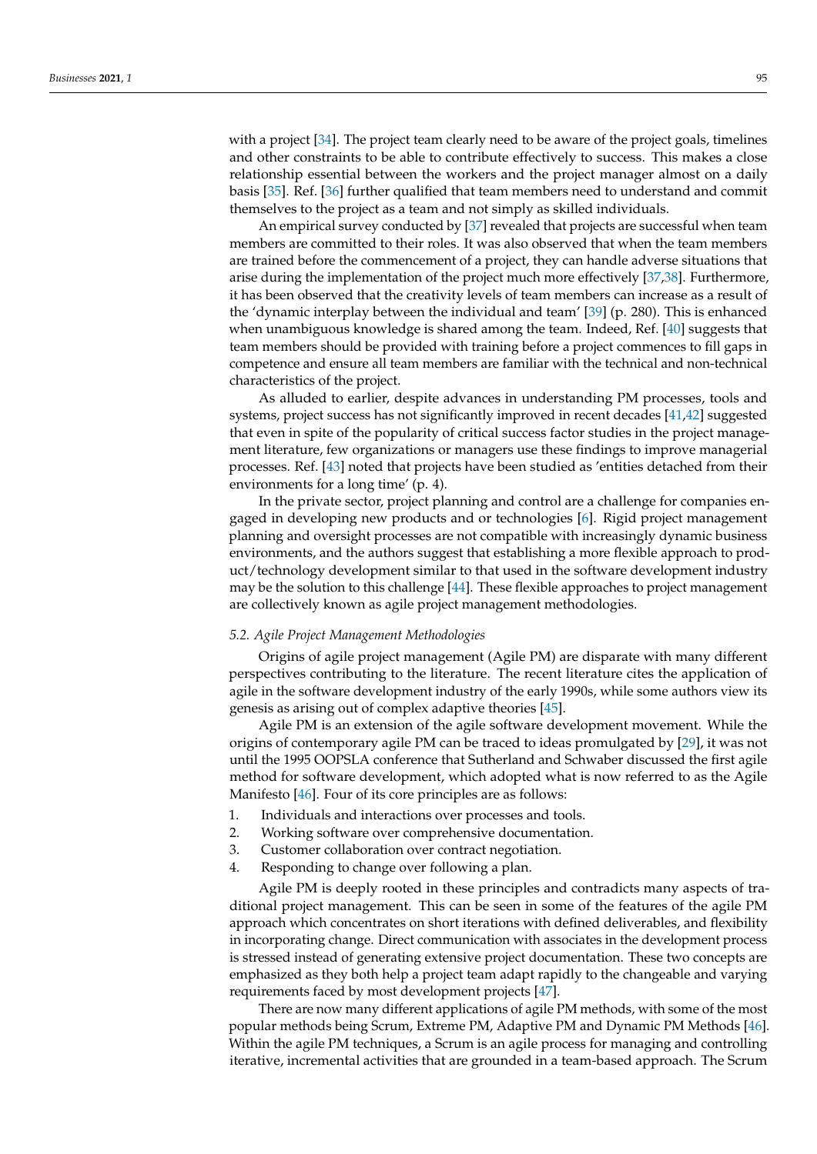with a project [\[34\]](#page-9-17). The project team clearly need to be aware of the project goals, timelines and other constraints to be able to contribute effectively to success. This makes a close relationship essential between the workers and the project manager almost on a daily basis [\[35\]](#page-9-18). Ref. [\[36\]](#page-9-19) further qualified that team members need to understand and commit themselves to the project as a team and not simply as skilled individuals.

An empirical survey conducted by [\[37\]](#page-9-20) revealed that projects are successful when team members are committed to their roles. It was also observed that when the team members are trained before the commencement of a project, they can handle adverse situations that arise during the implementation of the project much more effectively [\[37,](#page-9-20)[38\]](#page-9-21). Furthermore, it has been observed that the creativity levels of team members can increase as a result of the 'dynamic interplay between the individual and team' [\[39\]](#page-9-22) (p. 280). This is enhanced when unambiguous knowledge is shared among the team. Indeed, Ref. [\[40\]](#page-9-23) suggests that team members should be provided with training before a project commences to fill gaps in competence and ensure all team members are familiar with the technical and non-technical characteristics of the project.

As alluded to earlier, despite advances in understanding PM processes, tools and systems, project success has not significantly improved in recent decades [\[41,](#page-9-24)[42\]](#page-9-25) suggested that even in spite of the popularity of critical success factor studies in the project management literature, few organizations or managers use these findings to improve managerial processes. Ref. [\[43\]](#page-9-26) noted that projects have been studied as 'entities detached from their environments for a long time' (p. 4).

In the private sector, project planning and control are a challenge for companies engaged in developing new products and or technologies [\[6\]](#page-8-4). Rigid project management planning and oversight processes are not compatible with increasingly dynamic business environments, and the authors suggest that establishing a more flexible approach to product/technology development similar to that used in the software development industry may be the solution to this challenge [\[44\]](#page-9-27). These flexible approaches to project management are collectively known as agile project management methodologies.

## *5.2. Agile Project Management Methodologies*

Origins of agile project management (Agile PM) are disparate with many different perspectives contributing to the literature. The recent literature cites the application of agile in the software development industry of the early 1990s, while some authors view its genesis as arising out of complex adaptive theories [\[45\]](#page-9-28).

Agile PM is an extension of the agile software development movement. While the origins of contemporary agile PM can be traced to ideas promulgated by [\[29\]](#page-9-12), it was not until the 1995 OOPSLA conference that Sutherland and Schwaber discussed the first agile method for software development, which adopted what is now referred to as the Agile Manifesto [\[46\]](#page-9-29). Four of its core principles are as follows:

- 1. Individuals and interactions over processes and tools.
- 2. Working software over comprehensive documentation.
- 3. Customer collaboration over contract negotiation.
- 4. Responding to change over following a plan.

Agile PM is deeply rooted in these principles and contradicts many aspects of traditional project management. This can be seen in some of the features of the agile PM approach which concentrates on short iterations with defined deliverables, and flexibility in incorporating change. Direct communication with associates in the development process is stressed instead of generating extensive project documentation. These two concepts are emphasized as they both help a project team adapt rapidly to the changeable and varying requirements faced by most development projects [\[47\]](#page-9-30).

There are now many different applications of agile PM methods, with some of the most popular methods being Scrum, Extreme PM, Adaptive PM and Dynamic PM Methods [\[46\]](#page-9-29). Within the agile PM techniques, a Scrum is an agile process for managing and controlling iterative, incremental activities that are grounded in a team-based approach. The Scrum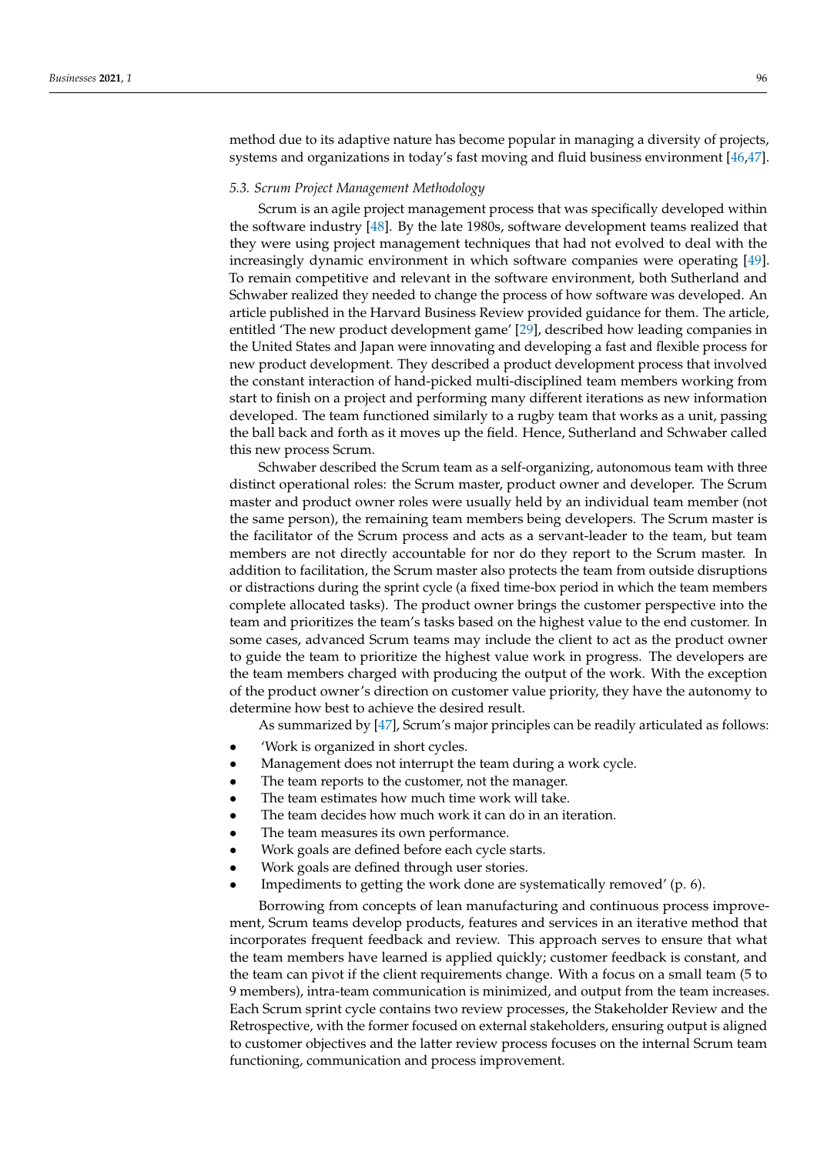method due to its adaptive nature has become popular in managing a diversity of projects, systems and organizations in today's fast moving and fluid business environment [\[46,](#page-9-29)[47\]](#page-9-30).

#### *5.3. Scrum Project Management Methodology*

Scrum is an agile project management process that was specifically developed within the software industry [\[48\]](#page-9-31). By the late 1980s, software development teams realized that they were using project management techniques that had not evolved to deal with the increasingly dynamic environment in which software companies were operating [\[49\]](#page-9-32). To remain competitive and relevant in the software environment, both Sutherland and Schwaber realized they needed to change the process of how software was developed. An article published in the Harvard Business Review provided guidance for them. The article, entitled 'The new product development game' [\[29\]](#page-9-12), described how leading companies in the United States and Japan were innovating and developing a fast and flexible process for new product development. They described a product development process that involved the constant interaction of hand-picked multi-disciplined team members working from start to finish on a project and performing many different iterations as new information developed. The team functioned similarly to a rugby team that works as a unit, passing the ball back and forth as it moves up the field. Hence, Sutherland and Schwaber called this new process Scrum.

Schwaber described the Scrum team as a self-organizing, autonomous team with three distinct operational roles: the Scrum master, product owner and developer. The Scrum master and product owner roles were usually held by an individual team member (not the same person), the remaining team members being developers. The Scrum master is the facilitator of the Scrum process and acts as a servant-leader to the team, but team members are not directly accountable for nor do they report to the Scrum master. In addition to facilitation, the Scrum master also protects the team from outside disruptions or distractions during the sprint cycle (a fixed time-box period in which the team members complete allocated tasks). The product owner brings the customer perspective into the team and prioritizes the team's tasks based on the highest value to the end customer. In some cases, advanced Scrum teams may include the client to act as the product owner to guide the team to prioritize the highest value work in progress. The developers are the team members charged with producing the output of the work. With the exception of the product owner's direction on customer value priority, they have the autonomy to determine how best to achieve the desired result.

As summarized by [\[47\]](#page-9-30), Scrum's major principles can be readily articulated as follows:

- 'Work is organized in short cycles.
- Management does not interrupt the team during a work cycle.
- The team reports to the customer, not the manager.
- The team estimates how much time work will take.
- The team decides how much work it can do in an iteration.
- The team measures its own performance.
- Work goals are defined before each cycle starts.
- Work goals are defined through user stories.
- Impediments to getting the work done are systematically removed' (p. 6).

Borrowing from concepts of lean manufacturing and continuous process improvement, Scrum teams develop products, features and services in an iterative method that incorporates frequent feedback and review. This approach serves to ensure that what the team members have learned is applied quickly; customer feedback is constant, and the team can pivot if the client requirements change. With a focus on a small team (5 to 9 members), intra-team communication is minimized, and output from the team increases. Each Scrum sprint cycle contains two review processes, the Stakeholder Review and the Retrospective, with the former focused on external stakeholders, ensuring output is aligned to customer objectives and the latter review process focuses on the internal Scrum team functioning, communication and process improvement.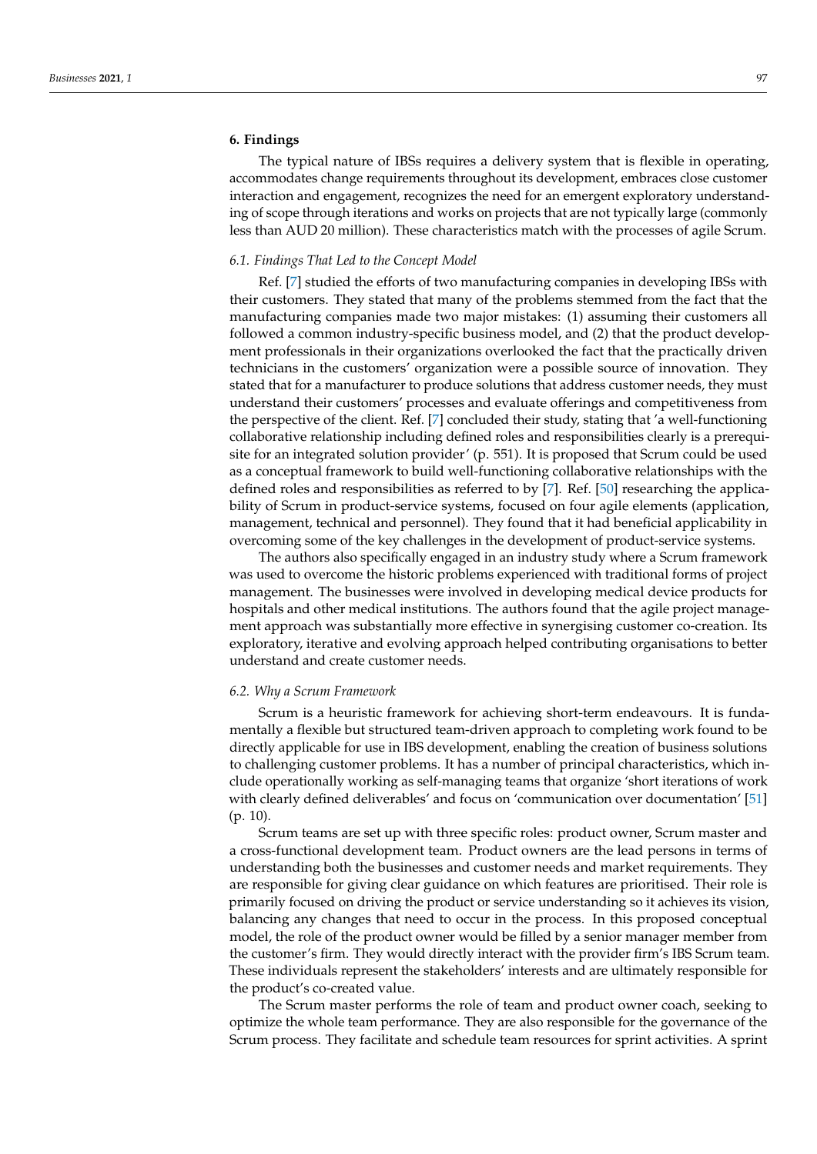# **6. Findings**

The typical nature of IBSs requires a delivery system that is flexible in operating, accommodates change requirements throughout its development, embraces close customer interaction and engagement, recognizes the need for an emergent exploratory understanding of scope through iterations and works on projects that are not typically large (commonly less than AUD 20 million). These characteristics match with the processes of agile Scrum.

## *6.1. Findings That Led to the Concept Model*

Ref. [\[7\]](#page-8-5) studied the efforts of two manufacturing companies in developing IBSs with their customers. They stated that many of the problems stemmed from the fact that the manufacturing companies made two major mistakes: (1) assuming their customers all followed a common industry-specific business model, and (2) that the product development professionals in their organizations overlooked the fact that the practically driven technicians in the customers' organization were a possible source of innovation. They stated that for a manufacturer to produce solutions that address customer needs, they must understand their customers' processes and evaluate offerings and competitiveness from the perspective of the client. Ref. [\[7\]](#page-8-5) concluded their study, stating that 'a well-functioning collaborative relationship including defined roles and responsibilities clearly is a prerequisite for an integrated solution provider' (p. 551). It is proposed that Scrum could be used as a conceptual framework to build well-functioning collaborative relationships with the defined roles and responsibilities as referred to by [\[7\]](#page-8-5). Ref. [\[50\]](#page-10-0) researching the applicability of Scrum in product-service systems, focused on four agile elements (application, management, technical and personnel). They found that it had beneficial applicability in overcoming some of the key challenges in the development of product-service systems.

The authors also specifically engaged in an industry study where a Scrum framework was used to overcome the historic problems experienced with traditional forms of project management. The businesses were involved in developing medical device products for hospitals and other medical institutions. The authors found that the agile project management approach was substantially more effective in synergising customer co-creation. Its exploratory, iterative and evolving approach helped contributing organisations to better understand and create customer needs.

#### *6.2. Why a Scrum Framework*

Scrum is a heuristic framework for achieving short-term endeavours. It is fundamentally a flexible but structured team-driven approach to completing work found to be directly applicable for use in IBS development, enabling the creation of business solutions to challenging customer problems. It has a number of principal characteristics, which include operationally working as self-managing teams that organize 'short iterations of work with clearly defined deliverables' and focus on 'communication over documentation' [\[51\]](#page-10-1) (p. 10).

Scrum teams are set up with three specific roles: product owner, Scrum master and a cross-functional development team. Product owners are the lead persons in terms of understanding both the businesses and customer needs and market requirements. They are responsible for giving clear guidance on which features are prioritised. Their role is primarily focused on driving the product or service understanding so it achieves its vision, balancing any changes that need to occur in the process. In this proposed conceptual model, the role of the product owner would be filled by a senior manager member from the customer's firm. They would directly interact with the provider firm's IBS Scrum team. These individuals represent the stakeholders' interests and are ultimately responsible for the product's co-created value.

The Scrum master performs the role of team and product owner coach, seeking to optimize the whole team performance. They are also responsible for the governance of the Scrum process. They facilitate and schedule team resources for sprint activities. A sprint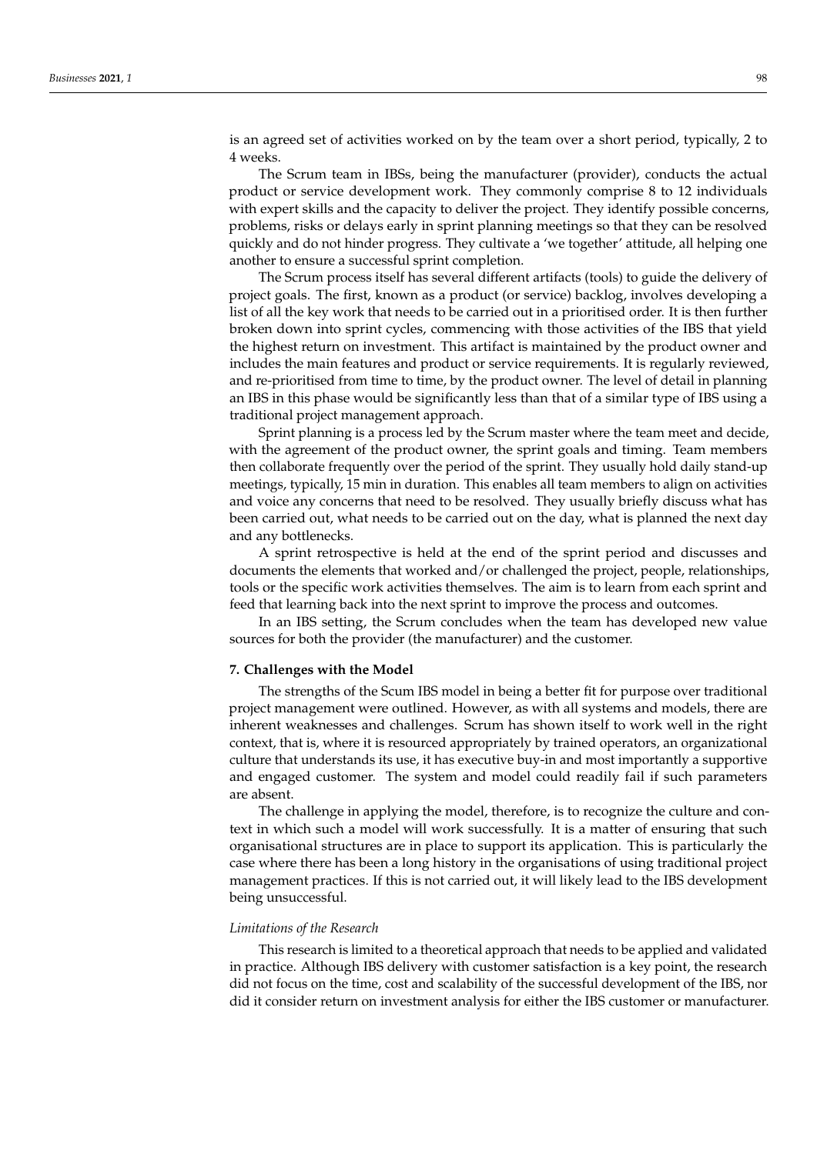is an agreed set of activities worked on by the team over a short period, typically, 2 to 4 weeks.

The Scrum team in IBSs, being the manufacturer (provider), conducts the actual product or service development work. They commonly comprise 8 to 12 individuals with expert skills and the capacity to deliver the project. They identify possible concerns, problems, risks or delays early in sprint planning meetings so that they can be resolved quickly and do not hinder progress. They cultivate a 'we together' attitude, all helping one another to ensure a successful sprint completion.

The Scrum process itself has several different artifacts (tools) to guide the delivery of project goals. The first, known as a product (or service) backlog, involves developing a list of all the key work that needs to be carried out in a prioritised order. It is then further broken down into sprint cycles, commencing with those activities of the IBS that yield the highest return on investment. This artifact is maintained by the product owner and includes the main features and product or service requirements. It is regularly reviewed, and re-prioritised from time to time, by the product owner. The level of detail in planning an IBS in this phase would be significantly less than that of a similar type of IBS using a traditional project management approach.

Sprint planning is a process led by the Scrum master where the team meet and decide, with the agreement of the product owner, the sprint goals and timing. Team members then collaborate frequently over the period of the sprint. They usually hold daily stand-up meetings, typically, 15 min in duration. This enables all team members to align on activities and voice any concerns that need to be resolved. They usually briefly discuss what has been carried out, what needs to be carried out on the day, what is planned the next day and any bottlenecks.

A sprint retrospective is held at the end of the sprint period and discusses and documents the elements that worked and/or challenged the project, people, relationships, tools or the specific work activities themselves. The aim is to learn from each sprint and feed that learning back into the next sprint to improve the process and outcomes.

In an IBS setting, the Scrum concludes when the team has developed new value sources for both the provider (the manufacturer) and the customer.

## **7. Challenges with the Model**

The strengths of the Scum IBS model in being a better fit for purpose over traditional project management were outlined. However, as with all systems and models, there are inherent weaknesses and challenges. Scrum has shown itself to work well in the right context, that is, where it is resourced appropriately by trained operators, an organizational culture that understands its use, it has executive buy-in and most importantly a supportive and engaged customer. The system and model could readily fail if such parameters are absent.

The challenge in applying the model, therefore, is to recognize the culture and context in which such a model will work successfully. It is a matter of ensuring that such organisational structures are in place to support its application. This is particularly the case where there has been a long history in the organisations of using traditional project management practices. If this is not carried out, it will likely lead to the IBS development being unsuccessful.

#### *Limitations of the Research*

This research is limited to a theoretical approach that needs to be applied and validated in practice. Although IBS delivery with customer satisfaction is a key point, the research did not focus on the time, cost and scalability of the successful development of the IBS, nor did it consider return on investment analysis for either the IBS customer or manufacturer.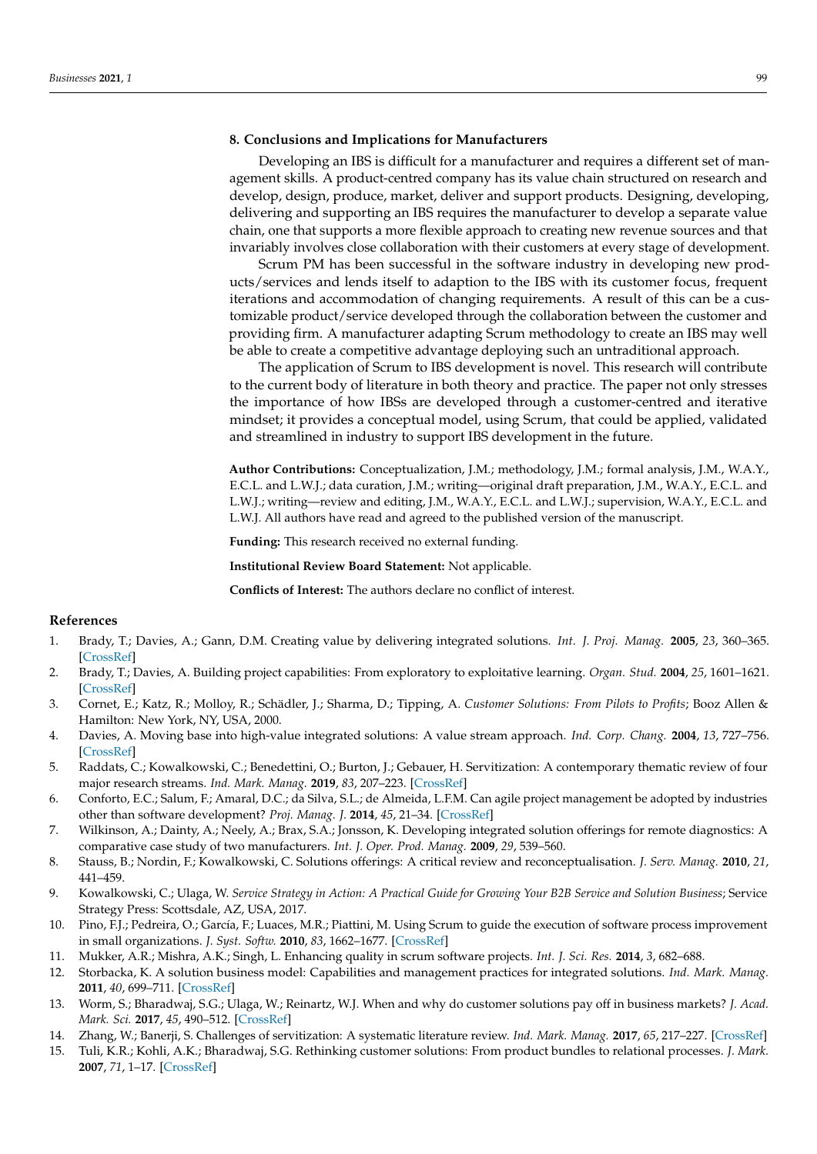# **8. Conclusions and Implications for Manufacturers**

Developing an IBS is difficult for a manufacturer and requires a different set of management skills. A product-centred company has its value chain structured on research and develop, design, produce, market, deliver and support products. Designing, developing, delivering and supporting an IBS requires the manufacturer to develop a separate value chain, one that supports a more flexible approach to creating new revenue sources and that invariably involves close collaboration with their customers at every stage of development.

Scrum PM has been successful in the software industry in developing new products/services and lends itself to adaption to the IBS with its customer focus, frequent iterations and accommodation of changing requirements. A result of this can be a customizable product/service developed through the collaboration between the customer and providing firm. A manufacturer adapting Scrum methodology to create an IBS may well be able to create a competitive advantage deploying such an untraditional approach.

The application of Scrum to IBS development is novel. This research will contribute to the current body of literature in both theory and practice. The paper not only stresses the importance of how IBSs are developed through a customer-centred and iterative mindset; it provides a conceptual model, using Scrum, that could be applied, validated and streamlined in industry to support IBS development in the future.

**Author Contributions:** Conceptualization, J.M.; methodology, J.M.; formal analysis, J.M., W.A.Y., E.C.L. and L.W.J.; data curation, J.M.; writing—original draft preparation, J.M., W.A.Y., E.C.L. and L.W.J.; writing—review and editing, J.M., W.A.Y., E.C.L. and L.W.J.; supervision, W.A.Y., E.C.L. and L.W.J. All authors have read and agreed to the published version of the manuscript.

**Funding:** This research received no external funding.

**Institutional Review Board Statement:** Not applicable.

**Conflicts of Interest:** The authors declare no conflict of interest.

## **References**

- <span id="page-8-0"></span>1. Brady, T.; Davies, A.; Gann, D.M. Creating value by delivering integrated solutions. *Int. J. Proj. Manag.* **2005**, *23*, 360–365. [\[CrossRef\]](http://doi.org/10.1016/j.ijproman.2005.01.001)
- <span id="page-8-1"></span>2. Brady, T.; Davies, A. Building project capabilities: From exploratory to exploitative learning. *Organ. Stud.* **2004**, *25*, 1601–1621. [\[CrossRef\]](http://doi.org/10.1177/0170840604048002)
- 3. Cornet, E.; Katz, R.; Molloy, R.; Schädler, J.; Sharma, D.; Tipping, A. *Customer Solutions: From Pilots to Profits*; Booz Allen & Hamilton: New York, NY, USA, 2000.
- <span id="page-8-3"></span>4. Davies, A. Moving base into high-value integrated solutions: A value stream approach. *Ind. Corp. Chang.* **2004**, *13*, 727–756. [\[CrossRef\]](http://doi.org/10.1093/icc/dth029)
- <span id="page-8-2"></span>5. Raddats, C.; Kowalkowski, C.; Benedettini, O.; Burton, J.; Gebauer, H. Servitization: A contemporary thematic review of four major research streams. *Ind. Mark. Manag.* **2019**, *83*, 207–223. [\[CrossRef\]](http://doi.org/10.1016/j.indmarman.2019.03.015)
- <span id="page-8-4"></span>6. Conforto, E.C.; Salum, F.; Amaral, D.C.; da Silva, S.L.; de Almeida, L.F.M. Can agile project management be adopted by industries other than software development? *Proj. Manag. J.* **2014**, *45*, 21–34. [\[CrossRef\]](http://doi.org/10.1002/pmj.21410)
- <span id="page-8-5"></span>7. Wilkinson, A.; Dainty, A.; Neely, A.; Brax, S.A.; Jonsson, K. Developing integrated solution offerings for remote diagnostics: A comparative case study of two manufacturers. *Int. J. Oper. Prod. Manag.* **2009**, *29*, 539–560.
- <span id="page-8-6"></span>8. Stauss, B.; Nordin, F.; Kowalkowski, C. Solutions offerings: A critical review and reconceptualisation. *J. Serv. Manag.* **2010**, *21*, 441–459.
- <span id="page-8-7"></span>9. Kowalkowski, C.; Ulaga, W. *Service Strategy in Action: A Practical Guide for Growing Your B2B Service and Solution Business*; Service Strategy Press: Scottsdale, AZ, USA, 2017.
- <span id="page-8-8"></span>10. Pino, F.J.; Pedreira, O.; García, F.; Luaces, M.R.; Piattini, M. Using Scrum to guide the execution of software process improvement in small organizations. *J. Syst. Softw.* **2010**, *83*, 1662–1677. [\[CrossRef\]](http://doi.org/10.1016/j.jss.2010.03.077)
- <span id="page-8-9"></span>11. Mukker, A.R.; Mishra, A.K.; Singh, L. Enhancing quality in scrum software projects. *Int. J. Sci. Res.* **2014**, *3*, 682–688.
- <span id="page-8-10"></span>12. Storbacka, K. A solution business model: Capabilities and management practices for integrated solutions. *Ind. Mark. Manag.* **2011**, *40*, 699–711. [\[CrossRef\]](http://doi.org/10.1016/j.indmarman.2011.05.003)
- <span id="page-8-13"></span>13. Worm, S.; Bharadwaj, S.G.; Ulaga, W.; Reinartz, W.J. When and why do customer solutions pay off in business markets? *J. Acad. Mark. Sci.* **2017**, *45*, 490–512. [\[CrossRef\]](http://doi.org/10.1007/s11747-017-0529-6)
- <span id="page-8-11"></span>14. Zhang, W.; Banerji, S. Challenges of servitization: A systematic literature review. *Ind. Mark. Manag.* **2017**, *65*, 217–227. [\[CrossRef\]](http://doi.org/10.1016/j.indmarman.2017.06.003)
- <span id="page-8-12"></span>15. Tuli, K.R.; Kohli, A.K.; Bharadwaj, S.G. Rethinking customer solutions: From product bundles to relational processes. *J. Mark.* **2007**, *71*, 1–17. [\[CrossRef\]](http://doi.org/10.1509/jmkg.71.3.001)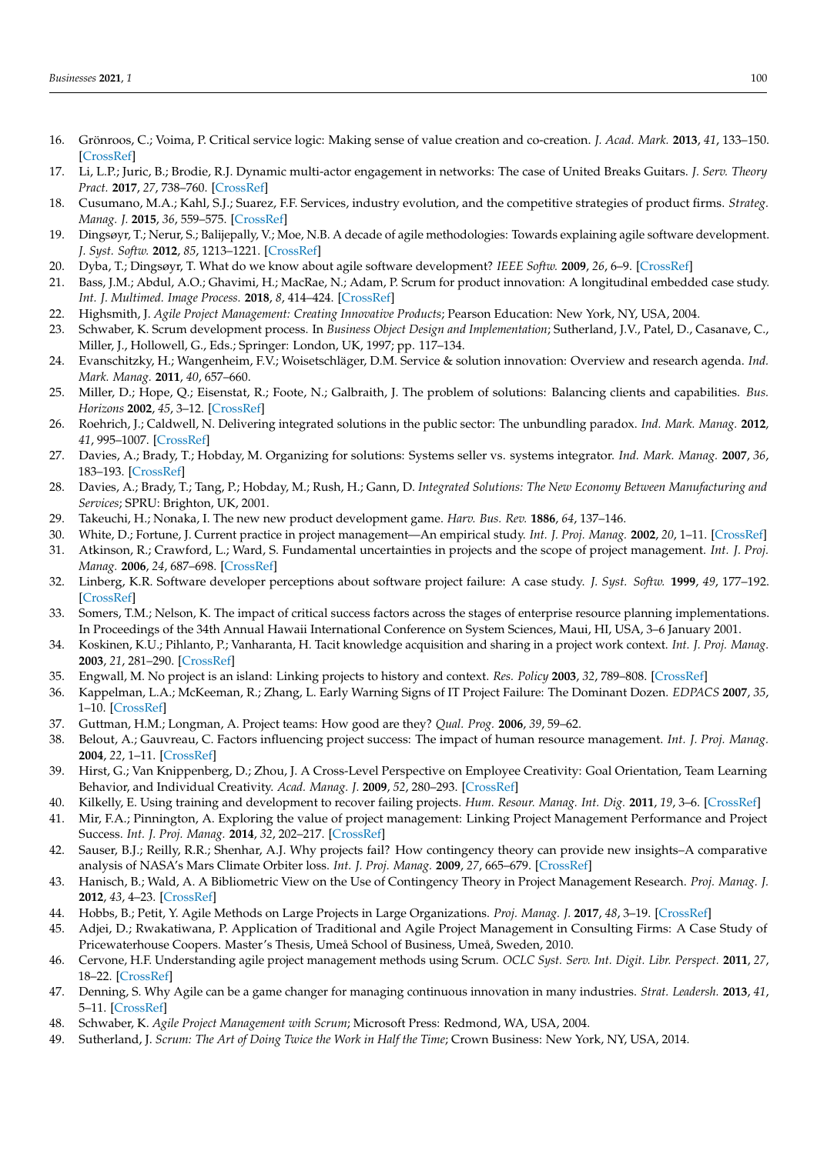- <span id="page-9-0"></span>16. Grönroos, C.; Voima, P. Critical service logic: Making sense of value creation and co-creation. *J. Acad. Mark.* **2013**, *41*, 133–150. [\[CrossRef\]](http://doi.org/10.1007/s11747-012-0308-3)
- <span id="page-9-1"></span>17. Li, L.P.; Juric, B.; Brodie, R.J. Dynamic multi-actor engagement in networks: The case of United Breaks Guitars. *J. Serv. Theory Pract.* **2017**, *27*, 738–760. [\[CrossRef\]](http://doi.org/10.1108/JSTP-04-2016-0066)
- <span id="page-9-2"></span>18. Cusumano, M.A.; Kahl, S.J.; Suarez, F.F. Services, industry evolution, and the competitive strategies of product firms. *Strateg. Manag. J.* **2015**, *36*, 559–575. [\[CrossRef\]](http://doi.org/10.1002/smj.2235)
- <span id="page-9-3"></span>19. Dingsøyr, T.; Nerur, S.; Balijepally, V.; Moe, N.B. A decade of agile methodologies: Towards explaining agile software development. *J. Syst. Softw.* **2012**, *85*, 1213–1221. [\[CrossRef\]](http://doi.org/10.1016/j.jss.2012.02.033)
- 20. Dyba, T.; Dingsøyr, T. What do we know about agile software development? *IEEE Softw.* **2009**, *26*, 6–9. [\[CrossRef\]](http://doi.org/10.1109/MS.2009.145)
- <span id="page-9-4"></span>21. Bass, J.M.; Abdul, A.O.; Ghavimi, H.; MacRae, N.; Adam, P. Scrum for product innovation: A longitudinal embedded case study. *Int. J. Multimed. Image Process.* **2018**, *8*, 414–424. [\[CrossRef\]](http://doi.org/10.20533/ijmip.2042.4647.2018.0051)
- <span id="page-9-5"></span>22. Highsmith, J. *Agile Project Management: Creating Innovative Products*; Pearson Education: New York, NY, USA, 2004.
- <span id="page-9-6"></span>23. Schwaber, K. Scrum development process. In *Business Object Design and Implementation*; Sutherland, J.V., Patel, D., Casanave, C., Miller, J., Hollowell, G., Eds.; Springer: London, UK, 1997; pp. 117–134.
- <span id="page-9-7"></span>24. Evanschitzky, H.; Wangenheim, F.V.; Woisetschläger, D.M. Service & solution innovation: Overview and research agenda. *Ind. Mark. Manag.* **2011**, *40*, 657–660.
- <span id="page-9-8"></span>25. Miller, D.; Hope, Q.; Eisenstat, R.; Foote, N.; Galbraith, J. The problem of solutions: Balancing clients and capabilities. *Bus. Horizons* **2002**, *45*, 3–12. [\[CrossRef\]](http://doi.org/10.1016/S0007-6813(02)00181-7)
- <span id="page-9-9"></span>26. Roehrich, J.; Caldwell, N. Delivering integrated solutions in the public sector: The unbundling paradox. *Ind. Mark. Manag.* **2012**, *41*, 995–1007. [\[CrossRef\]](http://doi.org/10.1016/j.indmarman.2012.01.016)
- <span id="page-9-10"></span>27. Davies, A.; Brady, T.; Hobday, M. Organizing for solutions: Systems seller vs. systems integrator. *Ind. Mark. Manag.* **2007**, *36*, 183–193. [\[CrossRef\]](http://doi.org/10.1016/j.indmarman.2006.04.009)
- <span id="page-9-11"></span>28. Davies, A.; Brady, T.; Tang, P.; Hobday, M.; Rush, H.; Gann, D. *Integrated Solutions: The New Economy Between Manufacturing and Services*; SPRU: Brighton, UK, 2001.
- <span id="page-9-12"></span>29. Takeuchi, H.; Nonaka, I. The new new product development game. *Harv. Bus. Rev.* **1886**, *64*, 137–146.
- <span id="page-9-13"></span>30. White, D.; Fortune, J. Current practice in project management—An empirical study. *Int. J. Proj. Manag.* **2002**, *20*, 1–11. [\[CrossRef\]](http://doi.org/10.1016/S0263-7863(00)00029-6)
- <span id="page-9-14"></span>31. Atkinson, R.; Crawford, L.; Ward, S. Fundamental uncertainties in projects and the scope of project management. *Int. J. Proj. Manag.* **2006**, *24*, 687–698. [\[CrossRef\]](http://doi.org/10.1016/j.ijproman.2006.09.011)
- <span id="page-9-15"></span>32. Linberg, K.R. Software developer perceptions about software project failure: A case study. *J. Syst. Softw.* **1999**, *49*, 177–192. [\[CrossRef\]](http://doi.org/10.1016/S0164-1212(99)00094-1)
- <span id="page-9-16"></span>33. Somers, T.M.; Nelson, K. The impact of critical success factors across the stages of enterprise resource planning implementations. In Proceedings of the 34th Annual Hawaii International Conference on System Sciences, Maui, HI, USA, 3–6 January 2001.
- <span id="page-9-17"></span>34. Koskinen, K.U.; Pihlanto, P.; Vanharanta, H. Tacit knowledge acquisition and sharing in a project work context. *Int. J. Proj. Manag.* **2003**, *21*, 281–290. [\[CrossRef\]](http://doi.org/10.1016/S0263-7863(02)00030-3)
- <span id="page-9-18"></span>35. Engwall, M. No project is an island: Linking projects to history and context. *Res. Policy* **2003**, *32*, 789–808. [\[CrossRef\]](http://doi.org/10.1016/S0048-7333(02)00088-4)
- <span id="page-9-19"></span>36. Kappelman, L.A.; McKeeman, R.; Zhang, L. Early Warning Signs of IT Project Failure: The Dominant Dozen. *EDPACS* **2007**, *35*, 1–10. [\[CrossRef\]](http://doi.org/10.1080/07366980701238939)
- <span id="page-9-20"></span>37. Guttman, H.M.; Longman, A. Project teams: How good are they? *Qual. Prog.* **2006**, *39*, 59–62.
- <span id="page-9-21"></span>38. Belout, A.; Gauvreau, C. Factors influencing project success: The impact of human resource management. *Int. J. Proj. Manag.* **2004**, *22*, 1–11. [\[CrossRef\]](http://doi.org/10.1016/S0263-7863(03)00003-6)
- <span id="page-9-22"></span>39. Hirst, G.; Van Knippenberg, D.; Zhou, J. A Cross-Level Perspective on Employee Creativity: Goal Orientation, Team Learning Behavior, and Individual Creativity. *Acad. Manag. J.* **2009**, *52*, 280–293. [\[CrossRef\]](http://doi.org/10.5465/amj.2009.37308035)
- <span id="page-9-23"></span>40. Kilkelly, E. Using training and development to recover failing projects. *Hum. Resour. Manag. Int. Dig.* **2011**, *19*, 3–6. [\[CrossRef\]](http://doi.org/10.1108/09670731111140649)
- <span id="page-9-24"></span>41. Mir, F.A.; Pinnington, A. Exploring the value of project management: Linking Project Management Performance and Project Success. *Int. J. Proj. Manag.* **2014**, *32*, 202–217. [\[CrossRef\]](http://doi.org/10.1016/j.ijproman.2013.05.012)
- <span id="page-9-25"></span>42. Sauser, B.J.; Reilly, R.R.; Shenhar, A.J. Why projects fail? How contingency theory can provide new insights–A comparative analysis of NASA's Mars Climate Orbiter loss. *Int. J. Proj. Manag.* **2009**, *27*, 665–679. [\[CrossRef\]](http://doi.org/10.1016/j.ijproman.2009.01.004)
- <span id="page-9-26"></span>43. Hanisch, B.; Wald, A. A Bibliometric View on the Use of Contingency Theory in Project Management Research. *Proj. Manag. J.* **2012**, *43*, 4–23. [\[CrossRef\]](http://doi.org/10.1002/pmj.21267)
- <span id="page-9-28"></span><span id="page-9-27"></span>44. Hobbs, B.; Petit, Y. Agile Methods on Large Projects in Large Organizations. *Proj. Manag. J.* **2017**, *48*, 3–19. [\[CrossRef\]](http://doi.org/10.1177/875697281704800301)
- 45. Adjei, D.; Rwakatiwana, P. Application of Traditional and Agile Project Management in Consulting Firms: A Case Study of Pricewaterhouse Coopers. Master's Thesis, Umeå School of Business, Umeå, Sweden, 2010.
- <span id="page-9-29"></span>46. Cervone, H.F. Understanding agile project management methods using Scrum. *OCLC Syst. Serv. Int. Digit. Libr. Perspect.* **2011**, *27*, 18–22. [\[CrossRef\]](http://doi.org/10.1108/10650751111106528)
- <span id="page-9-30"></span>47. Denning, S. Why Agile can be a game changer for managing continuous innovation in many industries. *Strat. Leadersh.* **2013**, *41*, 5–11. [\[CrossRef\]](http://doi.org/10.1108/10878571311318187)
- <span id="page-9-31"></span>48. Schwaber, K. *Agile Project Management with Scrum*; Microsoft Press: Redmond, WA, USA, 2004.
- <span id="page-9-32"></span>49. Sutherland, J. *Scrum: The Art of Doing Twice the Work in Half the Time*; Crown Business: New York, NY, USA, 2014.